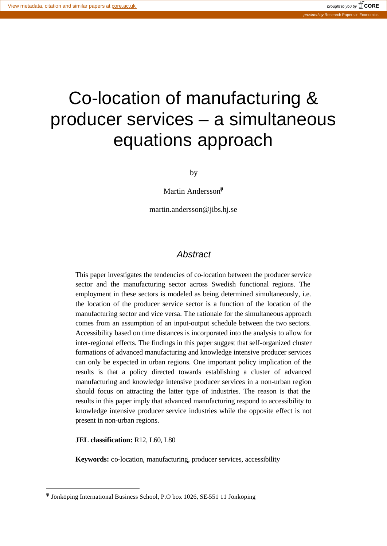# Co-location of manufacturing & producer services – a simultaneous equations approach

by

Martin Andersson<sup>ψ</sup>

martin.andersson@jibs.hj.se

#### *Abstract*

This paper investigates the tendencies of co-location between the producer service sector and the manufacturing sector across Swedish functional regions. The employment in these sectors is modeled as being determined simultaneously, i.e. the location of the producer service sector is a function of the location of the manufacturing sector and vice versa. The rationale for the simultaneous approach comes from an assumption of an input-output schedule between the two sectors. Accessibility based on time distances is incorporated into the analysis to allow for inter-regional effects. The findings in this paper suggest that self-organized cluster formations of advanced manufacturing and knowledge intensive producer services can only be expected in urban regions. One important policy implication of the results is that a policy directed towards establishing a cluster of advanced manufacturing and knowledge intensive producer services in a non-urban region should focus on attracting the latter type of industries. The reason is that the results in this paper imply that advanced manufacturing respond to accessibility to knowledge intensive producer service industries while the opposite effect is not present in non-urban regions.

**JEL classification:** R12, L60, L80

 $\overline{a}$ 

**Keywords:** co-location, manufacturing, producer services, accessibility

ψ Jönköping International Business School, P.O box 1026, SE-551 11 Jönköping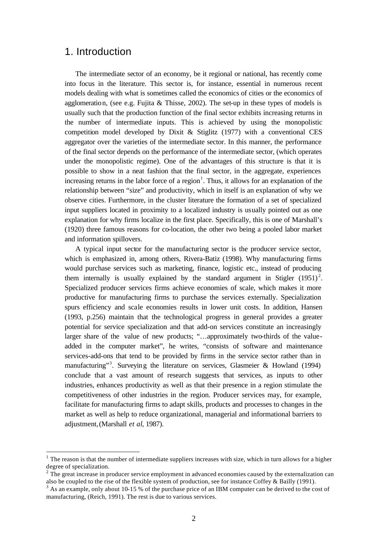### 1. Introduction

l

The intermediate sector of an economy, be it regional or national, has recently come into focus in the literature. This sector is, for instance, essential in numerous recent models dealing with what is sometimes called the economics of cities or the economics of agglomeration, (see e.g. Fujita & Thisse, 2002). The set-up in these types of models is usually such that the production function of the final sector exhibits increasing returns in the number of intermediate inputs. This is achieved by using the monopolistic competition model developed by Dixit & Stiglitz  $(1977)$  with a conventional CES aggregator over the varieties of the intermediate sector. In this manner, the performance of the final sector depends on the performance of the intermediate sector, (which operates under the monopolistic regime). One of the advantages of this structure is that it is possible to show in a neat fashion that the final sector, in the aggregate, experiences increasing returns in the labor force of a region<sup>1</sup>. Thus, it allows for an explanation of the relationship between "size" and productivity, which in itself is an explanation of why we observe cities. Furthermore, in the cluster literature the formation of a set of specialized input suppliers located in proximity to a localized industry is usually pointed out as one explanation for why firms localize in the first place. Specifically, this is one of Marshall's (1920) three famous reasons for co-location, the other two being a pooled labor market and information spillovers.

A typical input sector for the manufacturing sector is the producer service sector, which is emphasized in, among others, Rivera-Batiz (1998). Why manufacturing firms would purchase services such as marketing, finance, logistic etc., instead of producing them internally is usually explained by the standard argument in Stigler  $(1951)^2$ . Specialized producer services firms achieve economies of scale, which makes it more productive for manufacturing firms to purchase the services externally. Specialization spurs efficiency and scale economies results in lower unit costs. In addition, Hansen (1993, p.256) maintain that the technological progress in general provides a greater potential for service specialization and that add-on services constitute an increasingly larger share of the value of new products; "…approximately two-thirds of the valueadded in the computer market", he writes, "consists of software and maintenance services-add-ons that tend to be provided by firms in the service sector rather than in manufacturing"<sup>3</sup>. Surveying the literature on services, Glasmeier & Howland (1994) conclude that a vast amount of research suggests that services, as inputs to other industries, enhances productivity as well as that their presence in a region stimulate the competitiveness of other industries in the region. Producer services may, for example, facilitate for manufacturing firms to adapt skills, products and processes to changes in the market as well as help to reduce organizational, managerial and informational barriers to adjustment, (Marshall *et al*, 1987).

 $<sup>1</sup>$  The reason is that the number of intermediate suppliers increases with size, which in turn allows for a higher</sup> degree of specialization.

 $2^{2}$  The great increase in producer service employment in advanced economies caused by the externalization can also be coupled to the rise of the flexible system of production, see for instance Coffey & Bailly (1991).

<sup>&</sup>lt;sup>3</sup> As an example, only about 10-15 % of the purchase price of an IBM computer can be derived to the cost of manufacturing, (Reich, 1991). The rest is due to various services.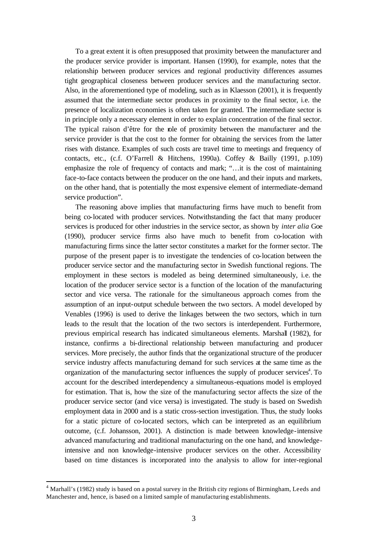To a great extent it is often presupposed that proximity between the manufacturer and the producer service provider is important. Hansen (1990), for example, notes that the relationship between producer services and regional productivity differences assumes tight geographical closeness between producer services and the manufacturing sector. Also, in the aforementioned type of modeling, such as in Klaesson (2001), it is frequently assumed that the intermediate sector produces in proximity to the final sector, i.e. the presence of localization economies is often taken for granted. The intermediate sector is in principle only a necessary element in order to explain concentration of the final sector. The typical raison d'être for the role of proximity between the manufacturer and the service provider is that the cost to the former for obtaining the services from the latter rises with distance. Examples of such costs are travel time to meetings and frequency of contacts, etc., (c.f. O'Farrell & Hitchens, 1990a). Coffey & Bailly (1991, p.109) emphasize the role of frequency of contacts and mark; "…it is the cost of maintaining face-to-face contacts between the producer on the one hand, and their inputs and markets, on the other hand, that is potentially the most expensive element of intermediate-demand service production".

The reasoning above implies that manufacturing firms have much to benefit from being co-located with producer services. Notwithstanding the fact that many producer services is produced for other industries in the service sector, as shown by *inter alia* Goe (1990), producer service firms also have much to benefit from co-location with manufacturing firms since the latter sector constitutes a market for the former sector. The purpose of the present paper is to investigate the tendencies of co-location between the producer service sector and the manufacturing sector in Swedish functional regions. The employment in these sectors is modeled as being determined simultaneously, i.e. the location of the producer service sector is a function of the location of the manufacturing sector and vice versa. The rationale for the simultaneous approach comes from the assumption of an input-output schedule between the two sectors. A model developed by Venables (1996) is used to derive the linkages between the two sectors, which in turn leads to the result that the location of the two sectors is interdependent. Furthermore, previous empirical research has indicated simultaneous elements. Marshall (1982), for instance, confirms a bi-directional relationship between manufacturing and producer services. More precisely, the author finds that the organizational structure of the producer service industry affects manufacturing demand for such services at the same time as the organization of the manufacturing sector influences the supply of producer services<sup>4</sup>. To account for the described interdependency a simultaneous-equations model is employed for estimation. That is, how the size of the manufacturing sector affects the size of the producer service sector (and vice versa) is investigated. The study is based on Swedish employment data in 2000 and is a static cross-section investigation. Thus, the study looks for a static picture of co-located sectors, which can be interpreted as an equilibrium outcome, (c.f. Johansson, 2001). A distinction is made between knowledge-intensive advanced manufacturing and traditional manufacturing on the one hand, and knowledgeintensive and non knowledge-intensive producer services on the other. Accessibility based on time distances is incorporated into the analysis to allow for inter-regional

<sup>&</sup>lt;sup>4</sup> Marhall's (1982) study is based on a postal survey in the British city regions of Birmingham, Leeds and Manchester and, hence, is based on a limited sample of manufacturing establishments.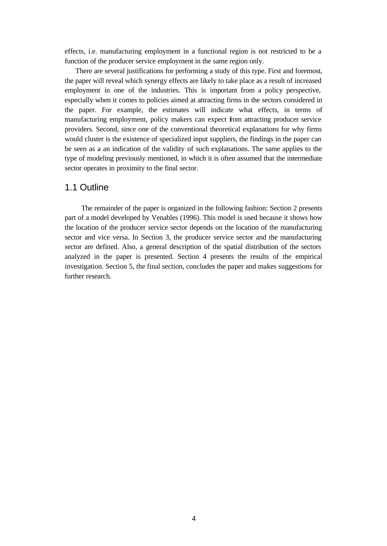effects, i.e. manufacturing employment in a functional region is not restricted to be a function of the producer service employment in the same region only.

There are several justifications for performing a study of this type. First and foremost, the paper will reveal which synergy effects are likely to take place as a result of increased employment in one of the industries. This is important from a policy perspective, especially when it comes to policies aimed at attracting firms in the sectors considered in the paper. For example, the estimates will indicate what effects, in terms of manufacturing employment, policy makers can expect from attracting producer service providers. Second, since one of the conventional theoretical explanations for why firms would cluster is the existence of specialized input suppliers, the findings in the paper can be seen as a an indication of the validity of such explanations. The same applies to the type of modeling previously mentioned, in which it is often assumed that the intermediate sector operates in proximity to the final sector.

#### 1.1 Outline

The remainder of the paper is organized in the following fashion: Section 2 presents part of a model developed by Venables (1996). This model is used because it shows how the location of the producer service sector depends on the location of the manufacturing sector and vice versa. In Section 3, the producer service sector and the manufacturing sector are defined. Also, a general description of the spatial distribution of the sectors analyzed in the paper is presented. Section 4 presents the results of the empirical investigation. Section 5, the final section, concludes the paper and makes suggestions for further research.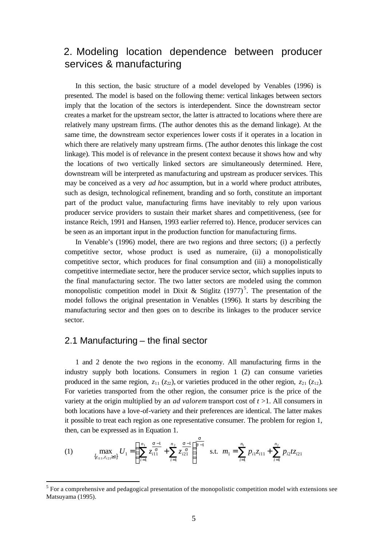## 2. Modeling location dependence between producer services & manufacturing

In this section, the basic structure of a model developed by Venables (1996) is presented. The model is based on the following theme: vertical linkages between sectors imply that the location of the sectors is interdependent. Since the downstream sector creates a market for the upstream sector, the latter is attracted to locations where there are relatively many upstream firms. (The author denotes this as the demand linkage). At the same time, the downstream sector experiences lower costs if it operates in a location in which there are relatively many upstream firms. (The author denotes this linkage the cost linkage). This model is of relevance in the present context because it shows how and why the locations of two vertically linked sectors are simultaneously determined. Here, downstream will be interpreted as manufacturing and upstream as producer services. This may be conceived as a very *ad hoc* assumption, but in a world where product attributes, such as design, technological refinement, branding and so forth, constitute an important part of the product value, manufacturing firms have inevitably to rely upon various producer service providers to sustain their market shares and competitiveness, (see for instance Reich, 1991 and Hansen, 1993 earlier referred to). Hence, producer services can be seen as an important input in the production function for manufacturing firms.

In Venable's (1996) model, there are two regions and three sectors; (i) a perfectly competitive sector, whose product is used as numeraire, (ii) a monopolistically competitive sector, which produces for final consumption and (iii) a monopolistically competitive intermediate sector, here the producer service sector, which supplies inputs to the final manufacturing sector. The two latter sectors are modeled using the common monopolistic competition model in Dixit & Stiglitz  $(1977)^5$ . The presentation of the model follows the original presentation in Venables (1996). It starts by describing the manufacturing sector and then goes on to describe its linkages to the producer service sector.

#### 2.1 Manufacturing – the final sector

l

1 and 2 denote the two regions in the economy. All manufacturing firms in the industry supply both locations. Consumers in region 1 (2) can consume varieties produced in the same region,  $z_{11}$  ( $z_{22}$ ), or varieties produced in the other region,  $z_{21}$  ( $z_{12}$ ). For varieties transported from the other region, the consumer price is the price of the variety at the origin multiplied by an *ad valorem* transport cost of *t* >1. All consumers in both locations have a love-of-variety and their preferences are identical. The latter makes it possible to treat each region as one representative consumer. The problem for region 1, then, can be expressed as in Equation 1.

(1) 
$$
\max_{\{z_{i1}, z_{i2} \ge 0\}} U_1 = \left( \sum_{i=1}^{n_1} \frac{s-i}{z_{i11}^s} + \sum_{i=1}^{n_2} \frac{s-i}{z_{i21}^s} \right)^{\frac{s}{s-1}} \text{ s.t. } m_1 = \sum_{i=1}^{n_1} p_{i1} z_{i11} + \sum_{i=1}^{n_2} p_{i2} t z_{i21}
$$

 $<sup>5</sup>$  For a comprehensive and pedagogical presentation of the monopolistic competition model with extensions see</sup> Matsuyama (1995).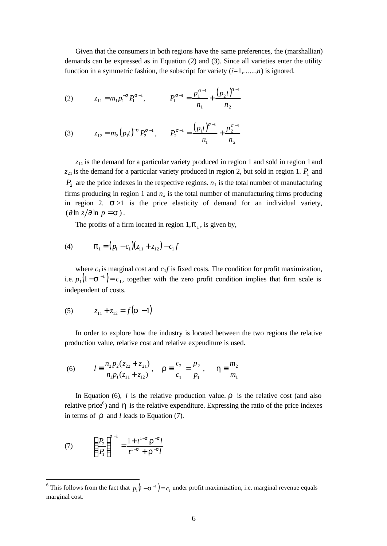Given that the consumers in both regions have the same preferences, the (marshallian) demands can be expressed as in Equation (2) and (3). Since all varieties enter the utility function in a symmetric fashion, the subscript for variety (*í=*1*,…...,n*) is ignored.

(2) 
$$
z_{11} = m_1 p_1^{-s} P_1^{s-1}, \qquad P_1^{s-1} = \frac{p_1^{s-1}}{n_1} + \frac{(p_2 t)^{s-1}}{n_2}
$$

(3) 
$$
z_{12} = m_2 (p_1 t)^{-s} P_2^{s-1}, \qquad P_2^{s-1} = \frac{(p_1 t)^{s-1}}{n_1} + \frac{p_2^{s-1}}{n_2}
$$

 $z_{11}$  is the demand for a particular variety produced in region 1 and sold in region 1 and  $z_{21}$  is the demand for a particular variety produced in region 2, but sold in region 1.  $P_1$  and  $P_2$  are the price indexes in the respective regions.  $n_1$  is the total number of manufacturing firms producing in region 1 and *n<sup>2</sup>* is the total number of manufacturing firms producing in region 2.  $s > 1$  is the price elasticity of demand for an individual variety,  $\left(\frac{\partial \ln z}{\partial \ln p} = \mathbf{s}\right)$ .

The profits of a firm located in region  $1, p_1$ , is given by,

(4) 
$$
\boldsymbol{p}_1 = (p_1 - c_1)(z_{11} + z_{12}) - c_1 f
$$

where  $c_1$  is marginal cost and  $c_1 f$  is fixed costs. The condition for profit maximization, i.e.  $p_1(1 - s^{-1}) = c_1$ , together with the zero profit condition implies that firm scale is independent of costs.

(5) 
$$
z_{11} + z_{12} = f(\mathbf{S} - 1)
$$

In order to explore how the industry is located between the two regions the relative production value, relative cost and relative expenditure is used.

(6) 
$$
l = \frac{n_2 p_2 (z_{22} + z_{21})}{n_1 p_1 (z_{11} + z_{12})}, \quad \mathbf{r} = \frac{c_2}{c_1} = \frac{p_2}{p_1}, \quad \mathbf{h} = \frac{m_2}{m_1}
$$

In Equation (6),  $l$  is the relative production value.  $r$  is the relative cost (and also relative price<sup>6</sup>) and  $h$  is the relative expenditure. Expressing the ratio of the price indexes in terms of  $\boldsymbol{r}$  and *l* leads to Equation (7).

(7) 
$$
\left(\frac{P_2}{P_1}\right)^{s-1} = \frac{1+t^{1-s}r^{-s}l}{t^{1-s}+r^{-s}l}
$$

<sup>&</sup>lt;sup>6</sup> This follows from the fact that  $p_1(1 - s^{-1}) = c_1$  under profit maximization, i.e. marginal revenue equals marginal cost.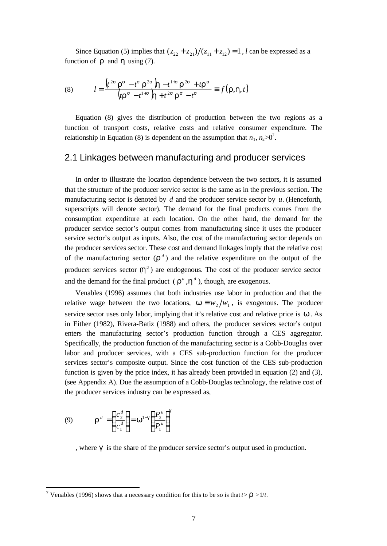Since Equation (5) implies that  $(z_{22} + z_{21})/(z_{11} + z_{12}) = 1$ , *l* can be expressed as a function of  $\boldsymbol{r}$  and  $\boldsymbol{h}$  using (7).

(8) 
$$
l = \frac{\left(t^{2s} \mathbf{r}^s - t^s \mathbf{r}^{2s}\right) \mathbf{h} - t^{1+s} \mathbf{r}^{2s} + t \mathbf{r}^s}{\left(tr^s - t^{1+s}\right) \mathbf{h} + t^{2s} \mathbf{r}^s - t^s} \equiv f(\mathbf{r}, \mathbf{h}, t)
$$

Equation (8) gives the distribution of production between the two regions as a function of transport costs, relative costs and relative consumer expenditure. The relationship in Equation (8) is dependent on the assumption that  $n_1$ ,  $n_2 > 0$ <sup>7</sup>.

#### 2.1 Linkages between manufacturing and producer services

In order to illustrate the location dependence between the two sectors, it is assumed that the structure of the producer service sector is the same as in the previous section. The manufacturing sector is denoted by *d* and the producer service sector by *u*. (Henceforth, superscripts will denote sector). The demand for the final products comes from the consumption expenditure at each location. On the other hand, the demand for the producer service sector's output comes from manufacturing since it uses the producer service sector's output as inputs. Also, the cost of the manufacturing sector depends on the producer services sector. These cost and demand linkages imply that the relative cost of the manufacturing sector  $(r^d)$  and the relative expenditure on the output of the producer services sector  $(h^u)$  are endogenous. The cost of the producer service sector and the demand for the final product ( $\mathbf{r}^u$ ,  $\mathbf{h}^d$ ), though, are exogenous.

Venables (1996) assumes that both industries use labor in production and that the relative wage between the two locations,  $w \equiv w_2/w_1$ , is exogenous. The producer service sector uses only labor, implying that it's relative cost and relative price is *w* . As in Either (1982), Rivera-Batiz (1988) and others, the producer services sector's output enters the manufacturing sector's production function through a CES aggregator. Specifically, the production function of the manufacturing sector is a Cobb-Douglas over labor and producer services, with a CES sub-production function for the producer services sector's composite output. Since the cost function of the CES sub-production function is given by the price index, it has already been provided in equation (2) and (3), (see Appendix A). Due the assumption of a Cobb-Douglas technology, the relative cost of the producer services industry can be expressed as,

(9) 
$$
\mathbf{r}^d = \left(\frac{c_2^d}{c_1^d}\right) = \mathbf{w}^{1-g} \left(\frac{P_2^u}{P_1^u}\right)^g
$$

l

, where *g* is the share of the producer service sector's output used in production.

<sup>&</sup>lt;sup>7</sup> Venables (1996) shows that a necessary condition for this to be so is that  $t > \mathbf{r} > 1/t$ .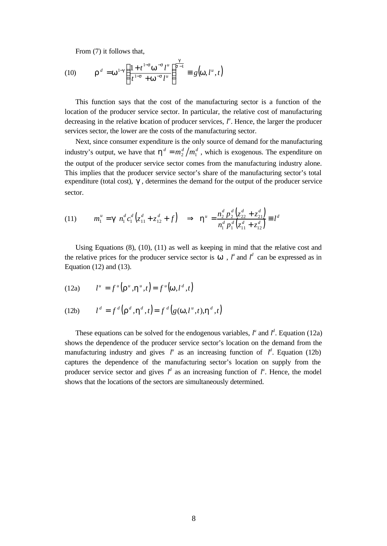From (7) it follows that,

(10) 
$$
\mathbf{r}^d = \mathbf{w}^{1-g} \left( \frac{1+t^{1-s} \mathbf{w}^{-s} l^u}{t^{1-s} + \mathbf{w}^{-s} l^u} \right)^{\frac{g}{s-1}} \equiv g(\mathbf{w}, l^u, t)
$$

This function says that the cost of the manufacturing sector is a function of the location of the producer service sector. In particular, the relative cost of manufacturing decreasing in the relative boation of producer services,  $l^{\mu}$ . Hence, the larger the producer services sector, the lower are the costs of the manufacturing sector.

Next, since consumer expenditure is the only source of demand for the manufacturing industry's output, we have that  $\mathbf{h}^d = m_2^d / m_1^d$ , which is exogenous. The expenditure on the output of the producer service sector comes from the manufacturing industry alone. This implies that the producer service sector's share of the manufacturing sector's total expenditure (total cost), *g* , determines the demand for the output of the producer service sector.

$$
(11) \t m_1^u = \mathbf{g} \t n_1^d c_1^d \left( z_{11}^d + z_{12}^d + f \right) \Rightarrow \mathbf{h}^u = \frac{n_2^d p_2^d \left( z_{22}^d + z_{21}^d \right)}{n_1^d p_1^d \left( z_{11}^d + z_{12}^d \right)} \equiv l^d
$$

Using Equations (8), (10), (11) as well as keeping in mind that the relative cost and the relative prices for the producer service sector is  $w$ ,  $l^u$  and  $l^d$  can be expressed as in Equation (12) and (13).

(12a) 
$$
l^u = f^u(\mathbf{r}^u, \mathbf{h}^u, t) = f^u(\mathbf{w}, l^d, t)
$$

(12b) 
$$
l^d = f^d\left(\mathbf{r}^d, \mathbf{h}^d, t\right) = f^d\left(g(\mathbf{w}, l^u, t), \mathbf{h}^d, t\right)
$$

These equations can be solved for the endogenous variables,  $l^u$  and  $l^d$ . Equation (12a) shows the dependence of the producer service sector's location on the demand from the manufacturing industry and gives  $l^u$  as an increasing function of  $l^d$ . Equation (12b) captures the dependence of the manufacturing sector's location on supply from the producer service sector and gives  $l^d$  as an increasing function of  $l^u$ . Hence, the model shows that the locations of the sectors are simultaneously determined.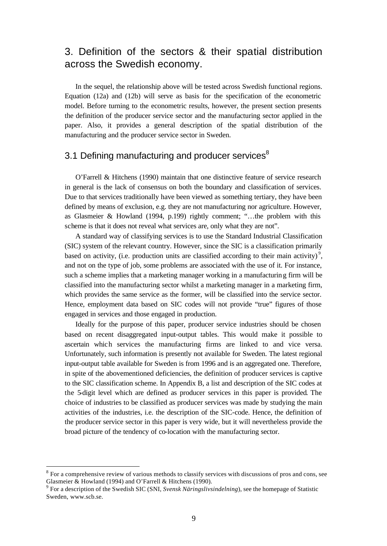## 3. Definition of the sectors & their spatial distribution across the Swedish economy.

In the sequel, the relationship above will be tested across Swedish functional regions. Equation (12a) and (12b) will serve as basis for the specification of the econometric model. Before turning to the econometric results, however, the present section presents the definition of the producer service sector and the manufacturing sector applied in the paper. Also, it provides a general description of the spatial distribution of the manufacturing and the producer service sector in Sweden.

## 3.1 Defining manufacturing and producer services<sup>8</sup>

O'Farrell & Hitchens (1990) maintain that one distinctive feature of service research in general is the lack of consensus on both the boundary and classification of services. Due to that services traditionally have been viewed as something tertiary, they have been defined by means of exclusion, e.g. they are not manufacturing nor agriculture. However, as Glasmeier & Howland (1994, p.199) rightly comment; "…the problem with this scheme is that it does not reveal what services are, only what they are not".

A standard way of classifying services is to use the Standard Industrial Classification (SIC) system of the relevant country. However, since the SIC is a classification primarily based on activity, (i.e. production units are classified according to their main activity)<sup>9</sup>, and not on the type of job, some problems are associated with the use of it. For instance, such a scheme implies that a marketing manager working in a manufacturing firm will be classified into the manufacturing sector whilst a marketing manager in a marketing firm, which provides the same service as the former, will be classified into the service sector. Hence, employment data based on SIC codes will not provide "true" figures of those engaged in services and those engaged in production.

Ideally for the purpose of this paper, producer service industries should be chosen based on recent disaggregated input-output tables. This would make it possible to ascertain which services the manufacturing firms are linked to and vice versa. Unfortunately, such information is presently not available for Sweden. The latest regional input-output table available for Sweden is from 1996 and is an aggregated one. Therefore, in spite of the abovementioned deficiencies, the definition of producer services is captive to the SIC classification scheme. In Appendix B, a list and description of the SIC codes at the 5-digit level which are defined as producer services in this paper is provided. The choice of industries to be classified as producer services was made by studying the main activities of the industries, i.e. the description of the SIC-code. Hence, the definition of the producer service sector in this paper is very wide, but it will nevertheless provide the broad picture of the tendency of co-location with the manufacturing sector.

 $8$  For a comprehensive review of various methods to classify services with discussions of pros and cons, see Glasmeier & Howland (1994) and O'Farrell & Hitchens (1990).

<sup>9</sup> For a description of the Swedish SIC (SNI, *Svensk Näringslivsindelning*), see the homepage of Statistic Sweden, www.scb.se.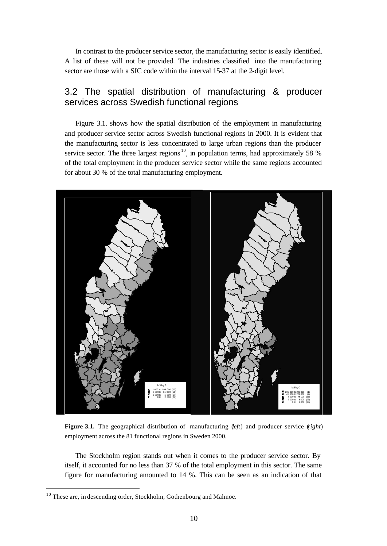In contrast to the producer service sector, the manufacturing sector is easily identified. A list of these will not be provided. The industries classified into the manufacturing sector are those with a SIC code within the interval 15-37 at the 2-digit level.

### 3.2 The spatial distribution of manufacturing & producer services across Swedish functional regions

Figure 3.1. shows how the spatial distribution of the employment in manufacturing and producer service sector across Swedish functional regions in 2000. It is evident that the manufacturing sector is less concentrated to large urban regions than the producer service sector. The three largest regions  $10$ , in population terms, had approximately 58 % of the total employment in the producer service sector while the same regions accounted for about 30 % of the total manufacturing employment.



**Figure 3.1.** The geographical distribution of manufacturing (*left*) and producer service (*right*) employment across the 81 functional regions in Sweden 2000.

The Stockholm region stands out when it comes to the producer service sector. By itself, it accounted for no less than 37 % of the total employment in this sector. The same figure for manufacturing amounted to 14 %. This can be seen as an indication of that

 $10$  These are, in descending order, Stockholm, Gothenbourg and Malmoe.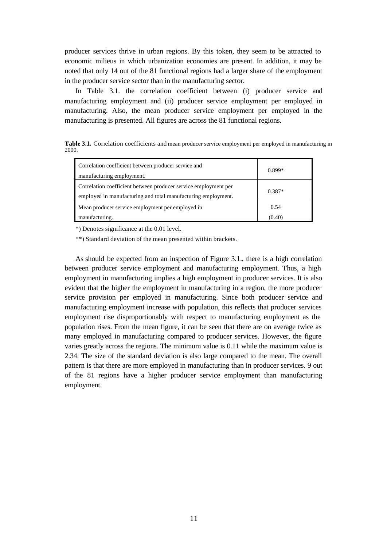producer services thrive in urban regions. By this token, they seem to be attracted to economic milieus in which urbanization economies are present. In addition, it may be noted that only 14 out of the 81 functional regions had a larger share of the employment in the producer service sector than in the manufacturing sector.

In Table 3.1. the correlation coefficient between (i) producer service and manufacturing employment and (ii) producer service employment per employed in manufacturing. Also, the mean producer service employment per employed in the manufacturing is presented. All figures are across the 81 functional regions.

**Table 3.1.** Correlation coefficients and mean producer service employment per employed in manufacturing in 2000.

| Correlation coefficient between producer service and                                                                             | $0.899*$       |  |
|----------------------------------------------------------------------------------------------------------------------------------|----------------|--|
| manufacturing employment.                                                                                                        |                |  |
| Correlation coefficient between producer service employment per<br>employed in manufacturing and total manufacturing employment. | $0.387*$       |  |
| Mean producer service employment per employed in<br>manufacturing.                                                               | 0.54<br>(0.40) |  |

\*) Denotes significance at the 0.01 level.

\*\*) Standard deviation of the mean presented within brackets.

As should be expected from an inspection of Figure 3.1., there is a high correlation between producer service employment and manufacturing employment. Thus, a high employment in manufacturing implies a high employment in producer services. It is also evident that the higher the employment in manufacturing in a region, the more producer service provision per employed in manufacturing. Since both producer service and manufacturing employment increase with population, this reflects that producer services employment rise disproportionably with respect to manufacturing employment as the population rises. From the mean figure, it can be seen that there are on average twice as many employed in manufacturing compared to producer services. However, the figure varies greatly across the regions. The minimum value is 0.11 while the maximum value is 2.34. The size of the standard deviation is also large compared to the mean. The overall pattern is that there are more employed in manufacturing than in producer services. 9 out of the 81 regions have a higher producer service employment than manufacturing employment.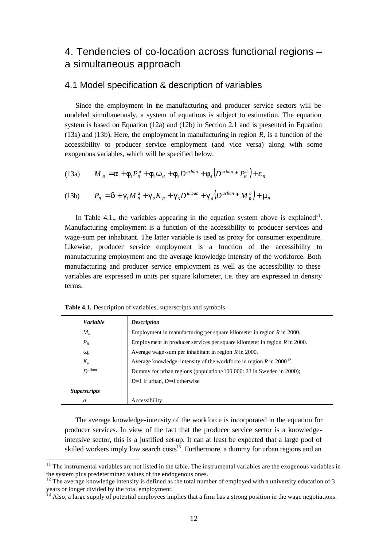## 4. Tendencies of co-location across functional regions – a simultaneous approach

#### 4.1 Model specification & description of variables

Since the employment in the manufacturing and producer service sectors will be modeled simultaneously, a system of equations is subject to estimation. The equation system is based on Equation (12a) and (12b) in Section 2.1 and is presented in Equation (13a) and (13b). Here, the employment in manufacturing in region *R*, is a function of the accessibility to producer service employment (and vice versa) along with some exogenous variables, which will be specified below.

$$
(13a) \qquad M_R = \mathbf{a} + \mathbf{f}_1 P_R^a + \mathbf{f}_2 \mathbf{w}_R + \mathbf{f}_3 D^{urban} + \mathbf{f}_4 \Big( D^{urban} * P_R^a \Big) + \mathbf{e}_R
$$

(13b) 
$$
P_R = \mathbf{d} + \mathbf{g}_1 M_R^a + \mathbf{g}_2 K_R + \mathbf{g}_3 D^{urban} + \mathbf{g}_4 (D^{urban} * M_R^a) + \mathbf{m}_R
$$

In Table 4.1., the variables appearing in the equation system above is explained<sup>11</sup>. Manufacturing employment is a function of the accessibility to producer services and wage-sum per inhabitant. The latter variable is used as proxy for consumer expenditure. Likewise, producer service employment is a function of the accessibility to manufacturing employment and the average knowledge intensity of the workforce. Both manufacturing and producer service employment as well as the accessibility to these variables are expressed in units per square kilometer, i.e. they are expressed in density terms.

| <b>Variable</b>            | <b>Description</b>                                                                 |
|----------------------------|------------------------------------------------------------------------------------|
| $M_{R}$                    | Employment in manufacturing per square kilometer in region $R$ in 2000.            |
| $P_R$                      | Employment in producer services per square kilometer in region $R$ in 2000.        |
| $\textit{W}_\textit{R}$    | Average wage-sum per inhabitant in region $R$ in 2000.                             |
| $K_R$                      | Average knowledge-intensity of the workforce in region $R$ in 2000 <sup>12</sup> . |
| $D$ urban                  | Dummy for urban regions (population>100 000: 23 in Sweden in 2000);                |
|                            | $D=1$ if urban, $D=0$ otherwise                                                    |
| <i><b>Superscripts</b></i> |                                                                                    |
| a                          | Accessibility                                                                      |

**Table 4.1.** Description of variables, superscripts and symbols.

l

The average knowledge-intensity of the workforce is incorporated in the equation for producer services. In view of the fact that the producer service sector is a knowledgeintensive sector, this is a justified set-up. It can at least be expected that a large pool of skilled workers imply low search  $costs<sup>13</sup>$ . Furthermore, a dummy for urban regions and an

 $11$  The instrumental variables are not listed in the table. The instrumental variables are the exogenous variables in the system plus predetermined values of the endogenous ones.

 $12$  The average knowledge intensity is defined as the total number of employed with a university education of 3 years or longer divided by the total employment.

<sup>&</sup>lt;sup>13</sup> Also, a large supply of potential employees implies that a firm has a strong position in the wage negotiations.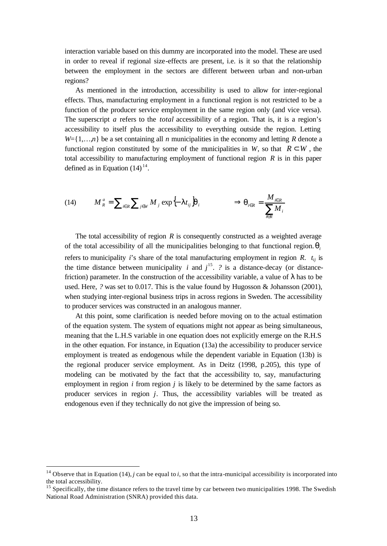interaction variable based on this dummy are incorporated into the model. These are used in order to reveal if regional size-effects are present, i.e. is it so that the relationship between the employment in the sectors are different between urban and non-urban regions?

As mentioned in the introduction, accessibility is used to allow for inter-regional effects. Thus, manufacturing employment in a functional region is not restricted to be a function of the producer service employment in the same region only (and vice versa). The superscript *a* refers to the *total* accessibility of a region. That is, it is a region's accessibility to itself plus the accessibility to everything outside the region. Letting  $W = \{1, \ldots, n\}$  be a set containing all *n* municipalities in the economy and letting *R* denote a functional region constituted by some of the municipalities in *W*, so that  $R \subset W$ , the total accessibility to manufacturing employment of functional region *R* is in this paper defined as in Equation  $(14)^{14}$ .

$$
(14) \tM_R^a = \sum_{i \in R} \sum_{j \in W} M_j \exp\left\{-\mathbf{1}t_{ij}\right\}\boldsymbol{q}_i \qquad \Longrightarrow \boldsymbol{q}_{i \in R} = \frac{M_{i \in R}}{\sum_{i \in R} M_i}
$$

The total accessibility of region *R* is consequently constructed as a weighted average of the total accessibility of all the municipalities belonging to that functional region.*q<sup>i</sup>* refers to municipality *i*'s share of the total manufacturing employment in region *R*.  $t_{ij}$  is the time distance between municipality *i* and  $j^{15}$ . *?* is a distance-decay (or distancefriction) parameter. In the construction of the accessibility variable, a value of *l* has to be used. Here, *?* was set to 0.017. This is the value found by Hugosson & Johansson (2001), when studying inter-regional business trips in across regions in Sweden. The accessibility to producer services was constructed in an analogous manner.

At this point, some clarification is needed before moving on to the actual estimation of the equation system. The system of equations might not appear as being simultaneous, meaning that the L.H.S variable in one equation does not explicitly emerge on the R.H.S in the other equation. For instance, in Equation (13a) the accessibility to producer service employment is treated as endogenous while the dependent variable in Equation (13b) is the regional producer service employment. As in Deitz (1998, p.205), this type of modeling can be motivated by the fact that the accessibility to, say, manufacturing employment in region *i* from region *j* is likely to be determined by the same factors as producer services in region *j*. Thus, the accessibility variables will be treated as endogenous even if they technically do not give the impression of being so.

<sup>&</sup>lt;sup>14</sup> Observe that in Equation (14),  $j$  can be equal to  $i$ , so that the intra-municipal accessibility is incorporated into the total accessibility.

 $15$  Specifically, the time distance refers to the travel time by car between two municipalities 1998. The Swedish National Road Administration (SNRA) provided this data.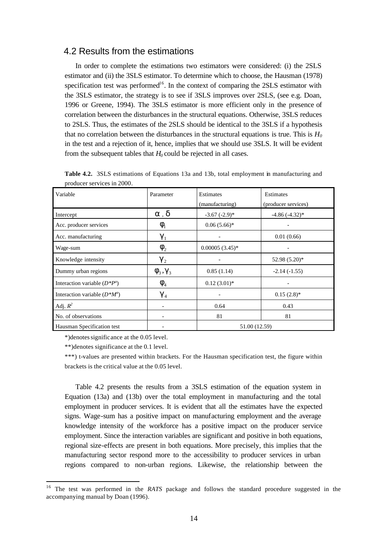#### 4.2 Results from the estimations

In order to complete the estimations two estimators were considered: (i) the 2SLS estimator and (ii) the 3SLS estimator. To determine which to choose, the Hausman (1978) specification test was performed<sup>16</sup>. In the context of comparing the  $2SLS$  estimator with the 3SLS estimator, the strategy is to see if 3SLS improves over 2SLS, (see e.g. Doan, 1996 or Greene, 1994). The 3SLS estimator is more efficient only in the presence of correlation between the disturbances in the structural equations. Otherwise, 3SLS reduces to 2SLS. Thus, the estimates of the 2SLS should be identical to the 3SLS if a hypothesis that no correlation between the disturbances in the structural equations is true. This is  $H_0$ in the test and a rejection of it, hence, implies that we should use 3SLS. It will be evident from the subsequent tables that  $H_0$  could be rejected in all cases.

| Variable                        | Parameter                                 | Estimates<br>(manufacturing) | Estimates<br>(producer services) |  |
|---------------------------------|-------------------------------------------|------------------------------|----------------------------------|--|
| Intercept                       | a, d                                      | $-3.67$ $(-2.9)$ *           | $-4.86(-4.32)$ *                 |  |
| Acc. producer services          | $\boldsymbol{f}_{\!\scriptscriptstyle 1}$ | $0.06(5.66)*$                |                                  |  |
| Acc. manufacturing              | $g_1$                                     |                              | 0.01(0.66)                       |  |
| Wage-sum                        | $\mathbf{f}_{2}$                          | $0.00005(3.45)*$             |                                  |  |
| Knowledge intensity             | $g_2$                                     |                              | 52.98 (5.20)*                    |  |
| Dummy urban regions             | $\boldsymbol{f}_3, \boldsymbol{g}_3$      | 0.85(1.14)                   | $-2.14(-1.55)$                   |  |
| Interaction variable $(D^*P^a)$ | $\boldsymbol{f}_{\scriptscriptstyle{4}}$  | $0.12(3.01)*$                |                                  |  |
| Interaction variable $(D^*M^a)$ | $g_4$                                     |                              | $0.15(2.8)$ *                    |  |
| Adj. $R^2$                      |                                           | 0.64                         | 0.43                             |  |
| No. of observations             |                                           | 81                           | 81                               |  |
| Hausman Specification test      |                                           |                              | 51.00 (12.59)                    |  |

**Table 4.2.** 3SLS estimations of Equations 13a and 13b, total employment in manufacturing and producer services in 2000*.*

\*)denotes significance at the 0.05 level.

\*\*)denotes significance at the 0.1 level.

l

\*\*\*) t-values are presented within brackets. For the Hausman specification test, the figure within brackets is the critical value at the 0.05 level.

Table 4.2 presents the results from a 3SLS estimation of the equation system in Equation (13a) and (13b) over the total employment in manufacturing and the total employment in producer services. It is evident that all the estimates have the expected signs. Wage-sum has a positive impact on manufacturing employment and the average knowledge intensity of the workforce has a positive impact on the producer service employment. Since the interaction variables are significant and positive in both equations, regional size-effects are present in both equations. More precisely, this implies that the manufacturing sector respond more to the accessibility to producer services in urban regions compared to non-urban regions. Likewise, the relationship between the

<sup>16</sup> The test was performed in the *RATS* package and follows the standard procedure suggested in the accompanying manual by Doan (1996).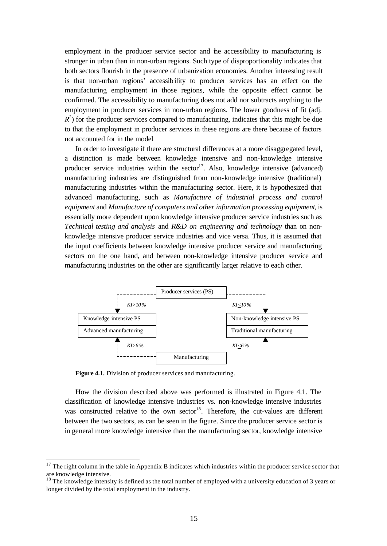employment in the producer service sector and the accessibility to manufacturing is stronger in urban than in non-urban regions. Such type of disproportionality indicates that both sectors flourish in the presence of urbanization economies. Another interesting result is that non-urban regions' accessibility to producer services has an effect on the manufacturing employment in those regions, while the opposite effect cannot be confirmed. The accessibility to manufacturing does not add nor subtracts anything to the employment in producer services in non-urban regions. The lower goodness of fit (adj.  $R<sup>2</sup>$ ) for the producer services compared to manufacturing, indicates that this might be due to that the employment in producer services in these regions are there because of factors not accounted for in the model.

In order to investigate if there are structural differences at a more disaggregated level, a distinction is made between knowledge intensive and non-knowledge intensive producer service industries within the sector<sup>17</sup>. Also, knowledge intensive (advanced) manufacturing industries are distinguished from non-knowledge intensive (traditional) manufacturing industries within the manufacturing sector. Here, it is hypothesized that advanced manufacturing, such as *Manufacture of industrial process and control equipment* and *Manufacture of computers and other information processing equipment*, is essentially more dependent upon knowledge intensive producer service industries such as *Technical testing and analysis* and *R&D on engineering and technology* than on nonknowledge intensive producer service industries and vice versa. Thus, it is assumed that the input coefficients between knowledge intensive producer service and manufacturing sectors on the one hand, and between non-knowledge intensive producer service and manufacturing industries on the other are significantly larger relative to each other.



**Figure 4.1.** Division of producer services and manufacturing.

l

How the division described above was performed is illustrated in Figure 4.1. The classification of knowledge intensive industries vs. non-knowledge intensive industries was constructed relative to the own sector<sup>18</sup>. Therefore, the cut-values are different between the two sectors, as can be seen in the figure. Since the producer service sector is in general more knowledge intensive than the manufacturing sector, knowledge intensive

 $17$  The right column in the table in Appendix B indicates which industries within the producer service sector that are knowledge intensive.

<sup>&</sup>lt;sup>18</sup> The knowledge intensity is defined as the total number of employed with a university education of 3 years or longer divided by the total employment in the industry.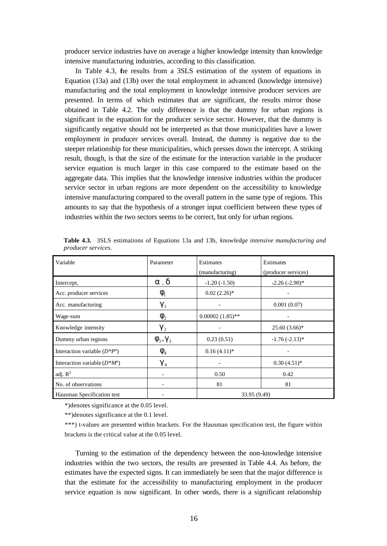producer service industries have on average a higher knowledge intensity than knowledge intensive manufacturing industries, according to this classification.

In Table 4.3, the results from a 3SLS estimation of the system of equations in Equation (13a) and (13b) over the total employment in advanced (knowledge intensive) manufacturing and the total employment in knowledge intensive producer services are presented. In terms of which estimates that are significant, the results mirror those obtained in Table 4.2. The only difference is that the dummy for urban regions is significant in the equation for the producer service sector. However, that the dummy is significantly negative should not be interpreted as that those municipalities have a lower employment in producer services overall. Instead, the dummy is negative due to the steeper relationship for these municipalities, which presses down the intercept. A striking result, though, is that the size of the estimate for the interaction variable in the producer service equation is much larger in this case compared to the estimate based on the aggregate data. This implies that the knowledge intensive industries within the producer service sector in urban regions are more dependent on the accessibility to knowledge intensive manufacturing compared to the overall pattern in the same type of regions. This amounts to say that the hypothesis of a stronger input coefficient between these types of industries within the two sectors seems to be correct, but only for urban regions.

| Variable                        | Parameter                            | Estimates<br>(manufacturing) | Estimates<br>(producer services) |
|---------------------------------|--------------------------------------|------------------------------|----------------------------------|
| Intercept,                      | a, d                                 | $-1.20(-1.50)$               | $-2.26(-2.90)$ *                 |
| Acc. producer services          | $\boldsymbol{f}_{1}$                 | $0.02(2.26)$ *               |                                  |
| Acc. manufacturing              | $g_1$                                |                              | 0.001(0.07)                      |
| Wage-sum                        | $\boldsymbol{f}_{2}$                 | $0.00002(1.85)$ **           |                                  |
| Knowledge intensity             | $g_2$                                |                              | $25.60(3.66)*$                   |
| Dummy urban regions             | $\boldsymbol{f}_3, \boldsymbol{g}_3$ | 0.23(0.51)                   | $-1.76(-2.13)*$                  |
| Interaction variable $(D^*P^a)$ | $\mathbf{f}_4$                       | $0.16(4.11)*$                |                                  |
| Interaction variable $(D^*M^a)$ | $g_{\tiny 4}$                        |                              | $0.30(4.51)$ *                   |
| adj. $R^2$                      |                                      | 0.50                         | 0.42                             |
| No. of observations             |                                      | 81                           | 81                               |
| Hausman Specification test      |                                      | 33.95 (9.49)                 |                                  |

**Table 4.3.** 3SLS estimations of Equations 13a and 13b, *knowledge intensive manufacturing and producer services*.

\*)denotes significance at the 0.05 level.

\*\*)denotes significance at the 0.1 level.

\*\*\*) t-values are presented within brackets. For the Hausman specification test, the figure within brackets is the critical value at the 0.05 level.

Turning to the estimation of the dependency between the non-knowledge intensive industries within the two sectors, the results are presented in Table 4.4. As before, the estimates have the expected signs. It can immediately be seen that the major difference is that the estimate for the accessibility to manufacturing employment in the producer service equation is now significant. In other words, there is a significant relationship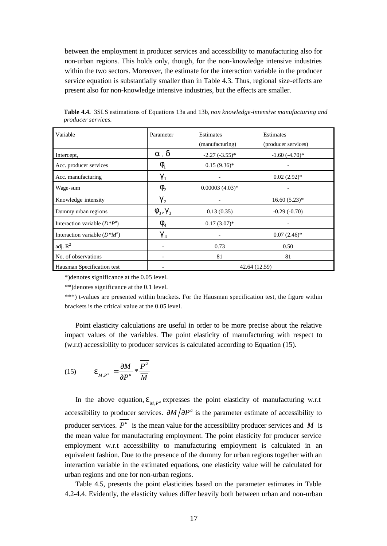between the employment in producer services and accessibility to manufacturing also for non-urban regions. This holds only, though, for the non-knowledge intensive industries within the two sectors. Moreover, the estimate for the interaction variable in the producer service equation is substantially smaller than in Table 4.3. Thus, regional size-effects are present also for non-knowledge intensive industries, but the effects are smaller.

| Variable                        | Parameter                                | Estimates        | Estimates           |
|---------------------------------|------------------------------------------|------------------|---------------------|
|                                 |                                          | (manufacturing)  | (producer services) |
| Intercept,                      | a, d                                     | $-2.27(-3.55)*$  | $-1.60(-4.70)*$     |
| Acc. producer services          | $\boldsymbol{f}_1$                       | $0.15(9.36)^{*}$ |                     |
| Acc. manufacturing              | $g_1$                                    |                  | $0.02(2.92)$ *      |
| Wage-sum                        | $\boldsymbol{f}_{2}$                     | $0.00003(4.03)*$ |                     |
| Knowledge intensity             | $g_2$                                    |                  | $16.60(5.23)*$      |
| Dummy urban regions             | $\boldsymbol{f}_3, \boldsymbol{g}_3$     | 0.13(0.35)       | $-0.29(-0.70)$      |
| Interaction variable $(D^*P^a)$ | $\boldsymbol{f}_{\scriptscriptstyle{A}}$ | $0.17(3.07)$ *   |                     |
| Interaction variable $(D^*M^a)$ | $g_4$                                    |                  | $0.07(2.46)$ *      |
| adj. $R^2$                      |                                          | 0.73             | 0.50                |
| No. of observations             |                                          | 81               | 81                  |
| Hausman Specification test      |                                          | 42.64 (12.59)    |                     |

**Table 4.4.** 3SLS estimations of Equations 13a and 13b, *non knowledge-intensive manufacturing and producer services.*

\*)denotes significance at the 0.05 level.

\*\*)denotes significance at the 0.1 level.

\*\*\*) t-values are presented within brackets. For the Hausman specification test, the figure within brackets is the critical value at the 0.05 level.

Point elasticity calculations are useful in order to be more precise about the relative impact values of the variables. The point elasticity of manufacturing with respect to (w.r.t) accessibility to producer services is calculated according to Equation (15).

(15) 
$$
\mathbf{e}_{M,P^a} = \frac{\partial M}{\partial P^a} * \frac{P^a}{\overline{M}}
$$

In the above equation,  $\mathbf{e}_{M,P}$ <sup>*e*</sup> expresses the point elasticity of manufacturing w.r.t accessibility to producer services.  $\partial M / \partial P^a$  is the parameter estimate of accessibility to producer services.  $\overline{P^a}$  is the mean value for the accessibility producer services and  $\overline{M}$  is the mean value for manufacturing employment. The point elasticity for producer service employment w.r.t accessibility to manufacturing employment is calculated in an equivalent fashion. Due to the presence of the dummy for urban regions together with an interaction variable in the estimated equations, one elasticity value will be calculated for urban regions and one for non-urban regions.

Table 4.5, presents the point elasticities based on the parameter estimates in Table 4.2-4.4. Evidently, the elasticity values differ heavily both between urban and non-urban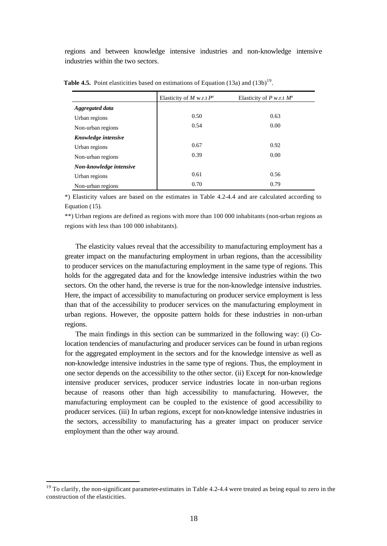regions and between knowledge intensive industries and non-knowledge intensive industries within the two sectors.

|                         | Elasticity of M w.r.t $P^a$ | Elasticity of P w.r.t $M^a$ |
|-------------------------|-----------------------------|-----------------------------|
| Aggregated data         |                             |                             |
| Urban regions           | 0.50                        | 0.63                        |
| Non-urban regions       | 0.54                        | 0.00                        |
| Knowledge intensive     |                             |                             |
| Urban regions           | 0.67                        | 0.92                        |
| Non-urban regions       | 0.39                        | 0.00                        |
| Non-knowledge intensive |                             |                             |
| Urban regions           | 0.61                        | 0.56                        |
| Non-urban regions       | 0.70                        | 0.79                        |

**Table 4.5.** Point elasticities based on estimations of Equation (13a) and (13b)<sup>19</sup>.

\*) Elasticity values are based on the estimates in Table 4.2-4.4 and are calculated according to Equation (15).

\*\*) Urban regions are defined as regions with more than 100 000 inhabitants (non-urban regions as regions with less than 100 000 inhabitants).

The elasticity values reveal that the accessibility to manufacturing employment has a greater impact on the manufacturing employment in urban regions, than the accessibility to producer services on the manufacturing employment in the same type of regions. This holds for the aggregated data and for the knowledge intensive industries within the two sectors. On the other hand, the reverse is true for the non-knowledge intensive industries. Here, the impact of accessibility to manufacturing on producer service employment is less than that of the accessibility to producer services on the manufacturing employment in urban regions. However, the opposite pattern holds for these industries in non-urban regions.

The main findings in this section can be summarized in the following way: (i) Colocation tendencies of manufacturing and producer services can be found in urban regions for the aggregated employment in the sectors and for the knowledge intensive as well as non-knowledge intensive industries in the same type of regions. Thus, the employment in one sector depends on the accessibility to the other sector. (ii) Except for non-knowledge intensive producer services, producer service industries locate in non-urban regions because of reasons other than high accessibility to manufacturing. However, the manufacturing employment can be coupled to the existence of good accessibility to producer services. (iii) In urban regions, except for non-knowledge intensive industries in the sectors, accessibility to manufacturing has a greater impact on producer service employment than the other way around.

 $19$  To clarify, the non-significant parameter-estimates in Table 4.2-4.4 were treated as being equal to zero in the construction of the elasticities.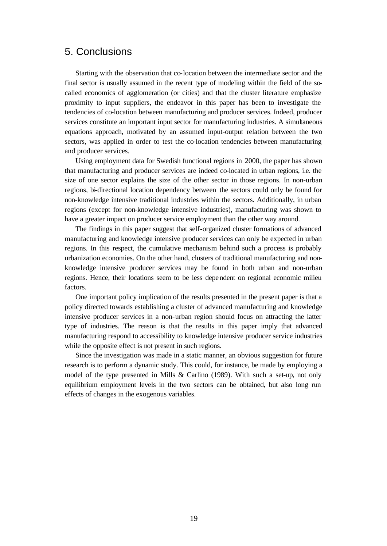### 5. Conclusions

Starting with the observation that co-location between the intermediate sector and the final sector is usually assumed in the recent type of modeling within the field of the socalled economics of agglomeration (or cities) and that the cluster literature emphasize proximity to input suppliers, the endeavor in this paper has been to investigate the tendencies of co-location between manufacturing and producer services. Indeed, producer services constitute an important input sector for manufacturing industries. A simultaneous equations approach, motivated by an assumed input-output relation between the two sectors, was applied in order to test the co-location tendencies between manufacturing and producer services.

Using employment data for Swedish functional regions in 2000, the paper has shown that manufacturing and producer services are indeed co-located in urban regions, i.e. the size of one sector explains the size of the other sector in those regions. In non-urban regions, bi-directional location dependency between the sectors could only be found for non-knowledge intensive traditional industries within the sectors. Additionally, in urban regions (except for non-knowledge intensive industries), manufacturing was shown to have a greater impact on producer service employment than the other way around.

The findings in this paper suggest that self-organized cluster formations of advanced manufacturing and knowledge intensive producer services can only be expected in urban regions. In this respect, the cumulative mechanism behind such a process is probably urbanization economies. On the other hand, clusters of traditional manufacturing and nonknowledge intensive producer services may be found in both urban and non-urban regions. Hence, their locations seem to be less dependent on regional economic milieu factors.

One important policy implication of the results presented in the present paper is that a policy directed towards establishing a cluster of advanced manufacturing and knowledge intensive producer services in a non-urban region should focus on attracting the latter type of industries. The reason is that the results in this paper imply that advanced manufacturing respond to accessibility to knowledge intensive producer service industries while the opposite effect is not present in such regions.

Since the investigation was made in a static manner, an obvious suggestion for future research is to perform a dynamic study. This could, for instance, be made by employing a model of the type presented in Mills & Carlino (1989). With such a set-up, not only equilibrium employment levels in the two sectors can be obtained, but also long run effects of changes in the exogenous variables.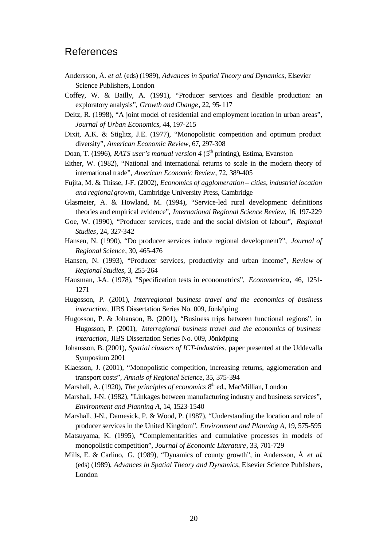## References

- Andersson, Å. *et al*. (eds) (1989), *Advances in Spatial Theory and Dynamics*, Elsevier Science Publishers, London
- Coffey, W. & Bailly, A. (1991), "Producer services and flexible production: an exploratory analysis", *Growth and Change*, 22, 95-117
- Deitz, R. (1998), "A joint model of residential and employment location in urban areas", *Journal of Urban Economics*, 44, 197-215
- Dixit, A.K. & Stiglitz, J.E. (1977), "Monopolistic competition and optimum product diversity", *American Economic Review*, 67, 297-308
- Doan, T. (1996), *RATS user's manual version 4* (5<sup>th</sup> printing), Estima, Evanston
- Either, W. (1982), "National and international returns to scale in the modern theory of international trade", *American Economic Review*, 72, 389-405
- Fujita, M. & Thisse, J-F. (2002), *Economics of agglomeration cities, industrial location and regional growth*, Cambridge University Press, Cambridge
- Glasmeier, A. & Howland, M. (1994), "Service-led rural development: definitions theories and empirical evidence", *International Regional Science Review*, 16, 197-229
- Goe, W. (1990), "Producer services, trade and the social division of labour", *Regional Studies*, 24, 327-342
- Hansen, N. (1990), "Do producer services induce regional development?", *Journal of Regional Science*, 30, 465-476
- Hansen, N. (1993), "Producer services, productivity and urban income", *Review of Regional Studies*, 3, 255-264
- Hausman, J-A. (1978), "Specification tests in econometrics", *Econometrica*, 46, 1251- 1271
- Hugosson, P. (2001), *Interregional business travel and the economics of business interaction*, JIBS Dissertation Series No. 009, Jönköping
- Hugosson, P. & Johanson, B. (2001), "Business trips between functional regions", in Hugosson, P. (2001), *Interregional business travel and the economics of business interaction*, JIBS Dissertation Series No. 009, Jönköping
- Johansson, B. (2001), *Spatial clusters of ICT-industries*, paper presented at the Uddevalla Symposium 2001
- Klaesson, J. (2001), "Monopolistic competition, increasing returns, agglomeration and transport costs", *Annals of Regional Science*, 35, 375-394
- Marshall, A. (1920), *The principles of economics* 8<sup>th</sup> ed., MacMillian, London
- Marshall, J-N. (1982), "Linkages between manufacturing industry and business services", *Environment and Planning A*, 14, 1523-1540
- Marshall, J-N., Damesick, P. & Wood, P. (1987), "Understanding the location and role of producer services in the United Kingdom", *Environment and Planning A*, 19, 575-595
- Matsuyama, K. (1995), "Complementarities and cumulative processes in models of monopolistic competition", *Journal of Economic Literature*, 33, 701-729
- Mills, E. & Carlino, G. (1989), "Dynamics of county growth", in Andersson, Å *et al*. (eds) (1989), *Advances in Spatial Theory and Dynamics*, Elsevier Science Publishers, London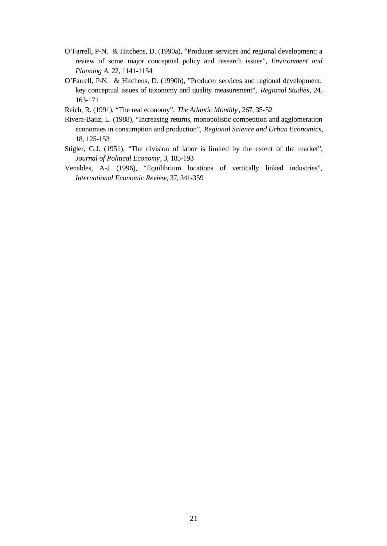- O'Farrell, P-N. & Hitchens, D. (1990a), "Producer services and regional development: a review of some major conceptual policy and research issues", *Environment and Planning A*, 22, 1141-1154
- O'Farrell, P-N. & Hitchens, D. (1990b), "Producer services and regional development: key conceptual issues of taxonomy and quality measurement", *Regional Studies*, 24, 163-171
- Reich, R. (1991), "The real economy", *The Atlantic Monthly* , 267, 35-52
- Rivera-Batiz, L. (1988), "Increasing returns, monopolistic competition and agglomeration economies in consumption and production", *Regional Science and Urban Economics*, 18, 125-153
- Stigler, G.J. (1951), "The division of labor is limited by the extent of the market", *Journal of Political Economy*, 3, 185-193
- Venables, A-J (1996), "Equilibrium locations of vertically linked industries", *International Economic Review*, 37, 341-359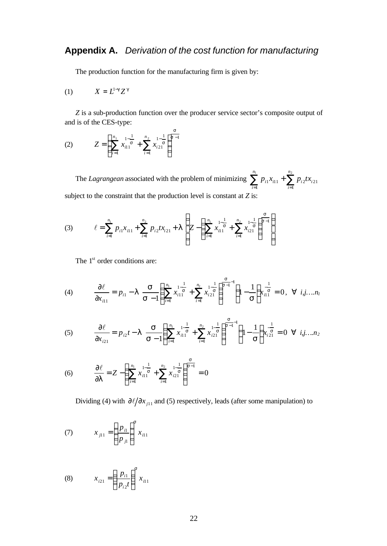The production function for the manufacturing firm is given by:

*s*

$$
(1) \hspace{1cm} X = L^{1-g} Z^g
$$

*Z* is a sub-production function over the producer service sector's composite output of and is of the CES-type:

(2) 
$$
Z = \left(\sum_{i=1}^{n_1} x_{i11}^{1-\frac{1}{s}} + \sum_{i=1}^{n_2} x_{i21}^{1-\frac{1}{s}}\right)^{\frac{1}{s-1}}
$$

The *Lagrangean* associated with the problem of minimizing  $\sum_{i=1}^{n_1} p_{i1}x_{i11} + \sum_{i=1}^{n_2} p_{i2}x_{i2}$  $i=1$  $1^{\lambda}$ il  $1^{\top}$   $\sum$   $P_i$ 2 $\lambda$ <sub>i</sub><sub>21</sub> *n i n i*  $p_{i1}x_{i1} + \sum p_{i2}tx_{i}$ subject to the constraint that the production level is constant at *Z* is:

(3) 
$$
\ell = \sum_{i=1}^{n_1} p_{i1} x_{i11} + \sum_{i=1}^{n_2} p_{i2} t x_{i21} + I \left( Z - \left( \sum_{i=1}^{n_1} x_{i1}^{1-\frac{1}{s}} + \sum_{i=1}^{n_2} x_{i21}^{1-\frac{1}{s}} \right)^{\frac{s}{s-1}} \right)
$$

The 1<sup>st</sup> order conditions are:

(4) 
$$
\frac{\partial \ell}{\partial x_{i1}} = p_{i1} - 1 \sum_{\mathbf{S}} \left( \sum_{i=1}^{n_1} x_{i11}^{1-\frac{1}{\mathbf{S}}} + \sum_{i=1}^{n_2} x_{i21}^{1-\frac{1}{\mathbf{S}}} \right)^{\frac{\mathbf{S}}{\mathbf{S}-1}-1} \left( 1 - \frac{1}{\mathbf{S}} \right) x_{i1}^{-\frac{1}{\mathbf{S}}} = 0, \forall i, j, \dots, n_1
$$

(5) 
$$
\frac{\partial \ell}{\partial x_{i21}} = p_{i2}t - 1 \sum_{s=1}^{S} \left( \sum_{i=1}^{n_1} x_{i1}^{1-\frac{1}{s}} + \sum_{i=1}^{n_2} x_{i2}^{1-\frac{1}{s}} \right)^{\frac{s}{s-1} - 1} \left( 1 - \frac{1}{s} \right) x_{i21}^{-\frac{1}{s}} = 0 \quad \forall \quad i, j, \dots n_2
$$

(6) 
$$
\frac{\partial \ell}{\partial I} = Z - \left( \sum_{i=1}^{n_1} x_{i11}^{1-\frac{1}{s}} + \sum_{i=1}^{n_2} x_{i21}^{1-\frac{1}{s}} \right)^{\frac{s}{s-1}} = 0
$$

Dividing (4) with  $\partial \ell / \partial x_{i11}$  and (5) respectively, leads (after some manipulation) to

(7) 
$$
x_{j11} = \left(\frac{p_{i1}}{p_{j1}}\right)^s x_{i11}
$$

(8) 
$$
x_{i21} = \left(\frac{p_{i1}}{p_{i2}t}\right)^s x_{i11}
$$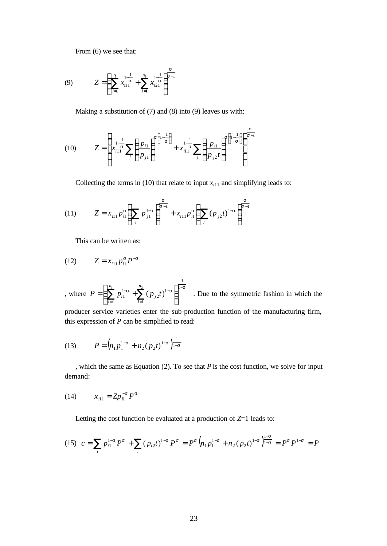From (6) we see that:

(9) 
$$
Z = \left(\sum_{i=1}^{n_1} x_{i11}^{\frac{1}{s}} + \sum_{i=1}^{n_2} x_{i21}^{\frac{1}{s}}\right)^{\frac{s}{s-1}}
$$

Making a substitution of (7) and (8) into (9) leaves us with:

(10) 
$$
Z = \left(x_{i1}^{\frac{1}{s}} \sum_{j} \left(\frac{p_{i1}}{p_{j1}}\right)^{s\left(1-\frac{1}{s}\right)} + x_{i11}^{\frac{1}{s}} \sum_{j} \left(\frac{p_{i1}}{p_{j2}t}\right)^{s\left(1-\frac{1}{s}\right)}\right)^{\frac{s}{s-1}}
$$

Collecting the terms in (10) that relate to input  $x_{i11}$  and simplifying leads to:

(11) 
$$
Z = x_{i1} p_{i1}^s \left( \sum_j p_{j1}^{1-s} \right)^{\frac{s}{s-1}} + x_{i11} p_{i1}^s \left( \sum_j (p_{j2} t)^{1-s} \right)^{\frac{s}{s-1}}
$$

This can be written as:

(12) 
$$
Z = x_{i11} p_{i1}^s P^{-s}
$$

, where  $P = \left(\sum_{i=1}^{n_1} p_i^{1-s} + \sum_{i=1}^{n_2} (p_i t)^{1-s}\right)^{1-s}$ = − =  $-\frac{s}{1} + \sum (p_{j2}t)^{1-s}$  $\overline{\phantom{a}}$  $\lambda$  $\overline{\phantom{a}}$ l  $=\left(\sum_{i=1}^{n_1}p_{i1}^{1-s}+\sum_{i=1}^{n_2}(p_{i2}t)^{1-s}\right)^{\frac{1}{2}}$ 1 1 1 2 1 1 1  $\sum_{i=1}^{n} p_{i1}^{1-s} + \sum_{i=1}^{n_2} (p_{i2}t)$ *n i j n i*  $P = \sum_{i=1}^{n} p_{i1}^{1-s} + \sum_{i=1}^{n} (p_{i2}t)^{1-s}$  . Due to the symmetric fashion in which the

producer service varieties enter the sub-production function of the manufacturing firm, this expression of *P* can be simplified to read:

(13) 
$$
P = (n_1 p_1^{1-s} + n_2 (p_2 t)^{1-s})_{1-s}^{1}
$$

, which the same as Equation (2). To see that *P* is the cost function, we solve for input demand:

(14) 
$$
x_{i11} = Zp_{i1}^{-s}P^s
$$

Letting the cost function be evaluated at a production of *Z*=1 leads to:

$$
(15) \ \ c = \sum_{i} p_{i1}^{1-s} P^s + \sum_{i} (p_{i2}t)^{1-s} P^s = P^s \left( n_1 p_1^{1-s} + n_2 (p_2 t)^{1-s} \right)_{1-s}^{1-s} = P^s P^{1-s} = P
$$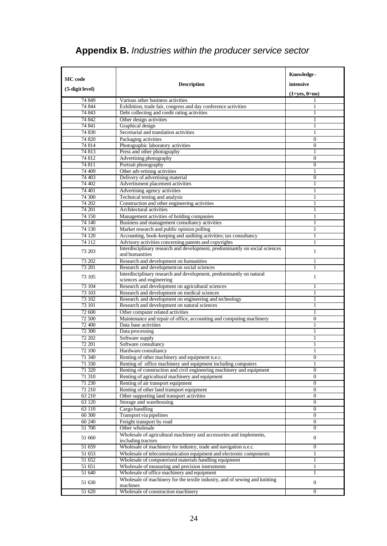## **Appendix B.** *Industries within the producer service sector*

|                     |                                                                                                                                       | Knowledge-            |
|---------------------|---------------------------------------------------------------------------------------------------------------------------------------|-----------------------|
| SIC code            | <b>Description</b>                                                                                                                    | intensive             |
| (5-digit level)     |                                                                                                                                       |                       |
| 74 849              | Various other business activities                                                                                                     | $(1 = yes, 0 = no)$   |
| 74 844              | Exhibition, trade fair, congress and day conference activities                                                                        | 1                     |
| 74 843              | Debt collecting and credit rating activities                                                                                          |                       |
| 74 842              | Other design activities                                                                                                               |                       |
| 74 841              | Graphical design                                                                                                                      | 1                     |
| 74 830              | Secretarial and translation activities                                                                                                | 1                     |
| 74 820              | Packaging activities                                                                                                                  | $\overline{0}$        |
| 74 814              | Photographic laboratory activities                                                                                                    | $\overline{0}$        |
| 74 813              | Press and other photography                                                                                                           | 1                     |
| 74 812              | Advertising photography                                                                                                               | $\mathbf{0}$          |
| 74 811<br>74 409    | Portrait photography<br>Other adv ertising activities                                                                                 | $\mathbf{0}$<br>1     |
| 74 403              | Delivery of advertising material                                                                                                      | $\mathbf{0}$          |
| 74 402              | Advertisment placement activities                                                                                                     | 1                     |
| 74 401              | Advertising agency activities                                                                                                         |                       |
| 74 300              | Technical testing and analysis                                                                                                        | 1                     |
| 74 202              | Construction and other engineering activities                                                                                         | 1                     |
| 74 201              | Architectural activities                                                                                                              | 1                     |
| 74 150              | Management activities of holding companies                                                                                            | 1                     |
| 74 140              | Business and management consultancy activities                                                                                        | 1                     |
| 74 130              | Market research and public opinion polling                                                                                            | 1                     |
| 74 120              | Accounting, book-keeping and auditing activities; tax consultancy                                                                     | 1                     |
| 74 112              | Advisory activities concerning patents and copyrights<br>Interdisciplinary research and development, predominantly on social sciences | 1                     |
| 73 203              | and humanities                                                                                                                        | 1                     |
| 73 202              | Research and development on humanities                                                                                                | 1                     |
| 73 201              | Research and development on social sciences                                                                                           | 1                     |
| 73 105              | Interdisciplinary research and development, predominantly on natural<br>sciences and engineering                                      | 1                     |
| 73 104              | Research and development on agricultural sciences                                                                                     | 1                     |
| 73 103              | Research and development on medical sciences                                                                                          | 1                     |
| 73 102              | Research and development on engineering and technology                                                                                | 1                     |
| 73 101              | Research and development on natural sciences                                                                                          | 1                     |
| 72 600<br>72 500    | Other computer related activities<br>Maintenance and repair of office, accounting and computing machinery                             | 1<br>$\mathbf{0}$     |
| 72 400              | Data base activities                                                                                                                  | 1                     |
| 72 300              | Data processing                                                                                                                       | 1                     |
| 72 202              | Software supply                                                                                                                       | 1                     |
| 72 201              | Software consultancy                                                                                                                  |                       |
| 72 100              | Hardware consultancy                                                                                                                  | 1                     |
| 71 340              | Renting of other machinery and equipment n.e.c.                                                                                       | <sub>U</sub>          |
| 71 330              | Renting of office machinery and equipment including computers                                                                         | 1                     |
| 71 320              | Renting of construction and civil engineering machinery and equipment                                                                 | 0                     |
| 71 310              | Renting of agricultural machinery and equipment                                                                                       | $\overline{0}$        |
| 71 230              | Renting of air transport equipment<br>Renting of other land transport equipment                                                       | $\boldsymbol{0}$<br>0 |
| 71 210<br>63 210    | Other supporting land transport activities                                                                                            | $\overline{0}$        |
| 63 120              | Storage and warehousing                                                                                                               | $\boldsymbol{0}$      |
| 63 110              | Cargo handling                                                                                                                        | 0                     |
| 60 300              | Transport via pipelines                                                                                                               | $\overline{0}$        |
| 60 240              | Freight transport by road                                                                                                             | $\overline{0}$        |
| 51 700              | Other wholesale                                                                                                                       | 0                     |
| 51 660              | Wholesale of agricultural machinery and accessories and implements,<br>including tractors                                             | $\boldsymbol{0}$      |
| 51 659              | Wholesale of machinery for industry, trade and navigation n.e.c.                                                                      | 0                     |
| 51 653              | Wholesale of telecommunication equipment and electronic components                                                                    | 1                     |
| $\overline{51}$ 652 | Wholesale of computerized materials handling equipment                                                                                | 1                     |
| 51 651              | Wholesale of measuring and precision instruments                                                                                      | 1                     |
| 51 640              | Wholesale of office machinery and equipment                                                                                           | 1                     |
| 51 630              | Wholesale of machinery for the textile industry, and of sewing and knitting<br>machines                                               | 0                     |
| 51 620              | Wholesale of construction machinery                                                                                                   | $\overline{0}$        |